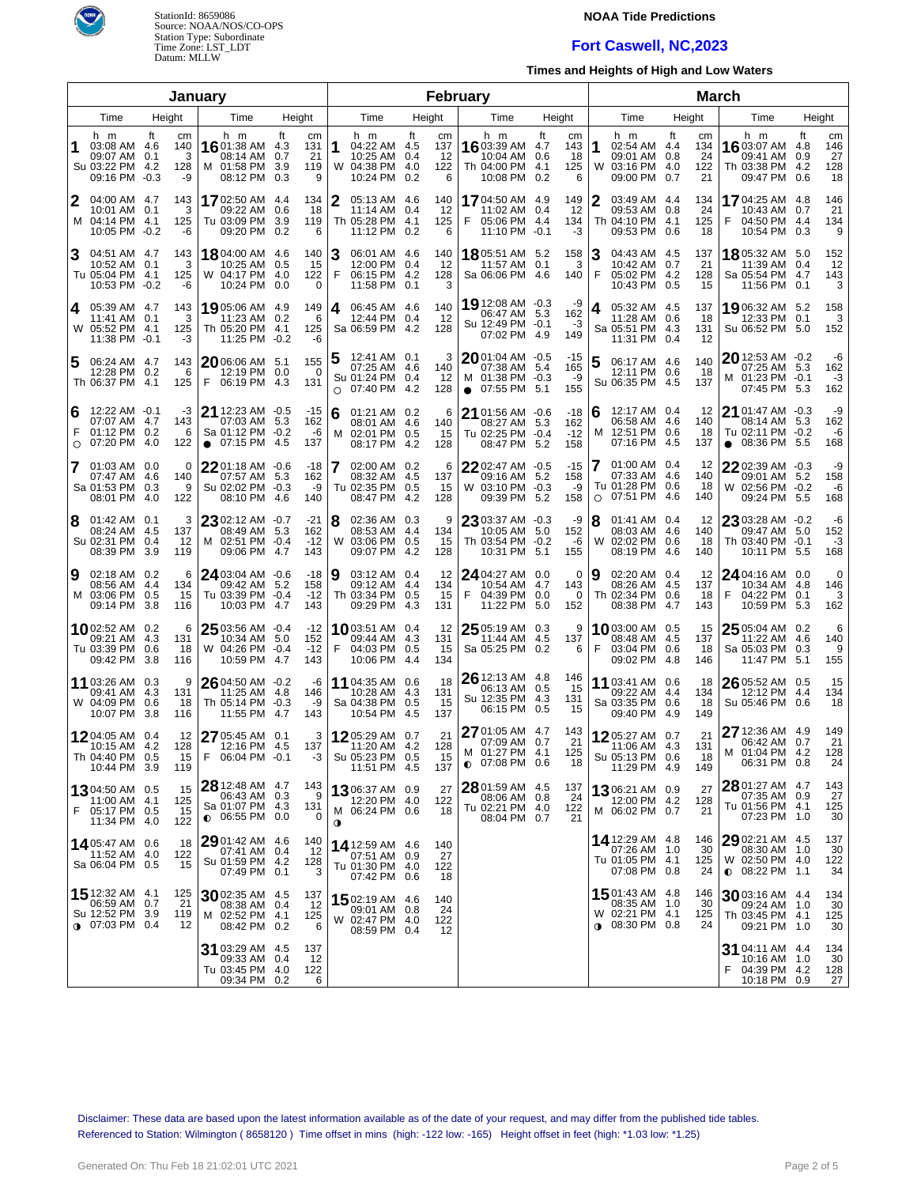

# **NOAA Tide Predictions**

## **Fort Caswell, NC,2023**

**Times and Heights of High and Low Waters**

|                   |                                                                                    |      |                             | January                                                                       |        |                              |                                                                             |           | February                     |                                                                                  |                                     |                                                                                 |                                    |                                                                                   |                                                  |
|-------------------|------------------------------------------------------------------------------------|------|-----------------------------|-------------------------------------------------------------------------------|--------|------------------------------|-----------------------------------------------------------------------------|-----------|------------------------------|----------------------------------------------------------------------------------|-------------------------------------|---------------------------------------------------------------------------------|------------------------------------|-----------------------------------------------------------------------------------|--------------------------------------------------|
| Time<br>Height    |                                                                                    |      |                             | Time                                                                          | Height |                              | Time                                                                        |           | Height                       | Time                                                                             | Height                              | Time                                                                            | Height                             | Time                                                                              | Height                                           |
| 1                 | h m<br>03:08 AM 4.6<br>09:07 AM 0.1<br>Su 03:22 PM 4.2<br>09:16 PM -0.3            | ft   | cm<br>140<br>3<br>128<br>-9 | h m<br>16 01:38 AM 4.3<br>08:14 AM 0.7<br>M 01:58 PM 3.9<br>08:12 PM 0.3      | ft     | cm<br>131<br>21<br>119<br>9  | h m<br>1<br>04:22 AM 4.5<br>10:25 AM 0.4<br>W 04:38 PM 4.0<br>10:24 PM      | ft<br>0.2 | cm<br>137<br>-12<br>122<br>6 | h m<br><b>16</b> 03:39 AM 4.7<br>10:04 AM 0.6<br>Th 04:00 PM 4.1<br>10:08 PM 0.2 | ft<br>cm<br>143<br>18<br>125<br>6   | h m<br>1<br>02:54 AM 4.4<br>09:01 AM 0.8<br>03:16 PM 4.0<br>W<br>09:00 PM 0.7   | ft<br>cm<br>134<br>24<br>122<br>21 | h m<br>16 03:07 AM<br>09:41 AM<br>Th 03:38 PM 4.2<br>09:47 PM 0.6                 | ft<br>cm<br>4.8<br>146<br>27<br>0.9<br>128<br>18 |
| 2                 | 04:00 AM 4.7<br>10:01 AM 0.1<br>M 04:14 PM 4.1<br>10:05 PM -0.2                    |      | 143<br>3<br>125<br>-6       | 1702:50 AM 4.4<br>09:22 AM 0.6<br>Tu 03:09 PM 3.9<br>09:20 PM 0.2             |        | 134<br>18<br>119<br>6        | 2<br>05:13 AM 4.6<br>11:14 AM 0.4<br>Th 05:28 PM 4.1<br>11:12 PM 0.2        |           | 140<br>-12<br>125<br>6       | 1704:50 AM 4.9<br>11:02 AM 0.4<br>F<br>05:06 PM 4.4<br>11:10 PM -0.1             | 149<br>12<br>134<br>-3              | 03:49 AM 4.4<br>09:53 AM 0.8<br>Th 04:10 PM 4.1<br>09:53 PM 0.6                 | 134<br>24<br>125<br>18             | 17 04:25 AM 4.8<br>10:43 AM<br>F<br>04:50 PM 4.4<br>10:54 PM 0.3                  | 146<br>21<br>0.7<br>134<br>9                     |
| 3                 | 04:51 AM 4.7<br>10:52 AM 0.1<br>Tu 05:04 PM 4.1<br>10:53 PM -0.2                   |      | 143<br>3<br>125<br>-6       | <b>18</b> 04:00 AM 4.6<br>10:25 AM 0.5<br>W 04:17 PM 4.0<br>10:24 PM 0.0      |        | 140<br>15<br>122<br>0        | 06:01 AM 4.6<br>12:00 PM 0.4<br>F<br>06:15 PM 4.2<br>11:58 PM 0.1           |           | 140<br>12<br>128<br>3        | <b>18</b> 05:51 AM 5.2<br>11:57 AM 0.1<br>Sa 06:06 PM 4.6                        | 158<br>3<br>140                     | 04:43 AM 4.5<br>10:42 AM 0.7<br>F<br>05:02 PM 4.2<br>10:43 PM 0.5               | 137<br>21<br>128<br>15             | 18 05:32 AM 5.0<br>11:39 AM 0.4<br>Sa 05:54 PM 4.7<br>11:56 PM 0.1                | 152<br>12<br>143<br>3                            |
| 4                 | 05:39 AM 4.7<br>11:41 AM 0.1<br>W 05:52 PM 4.1<br>11:38 PM -0.1                    |      | 143<br>3<br>125<br>-3       | 19 05:06 AM 4.9<br>11:23 AM 0.2<br>Th 05:20 PM 4.1<br>11:25 PM -0.2           |        | 149<br>6<br>125<br>-6        | 06:45 AM 4.6<br>4<br>12:44 PM 0.4<br>Sa 06:59 PM 4.2                        |           | 140<br>-12<br>128            | 19 12:08 AM -0.3<br>06:47 AM 5.3<br>Su 12:49 PM -0.1<br>07:02 PM                 | -9<br>162<br>-3<br>4.9<br>149       | 05:32 AM 4.5<br>4<br>11:28 AM 0.6<br>Sa 05:51 PM 4.3<br>11:31 PM 0.4            | 137<br>18<br>131<br>12             | 19 06:32 AM 5.2<br>12:33 PM 0.1<br>Su 06:52 PM 5.0                                | 158<br>3<br>152                                  |
| 5                 | 06:24 AM 4.7<br>12:28 PM 0.2<br>Th 06:37 PM 4.1                                    |      | 143<br>6<br>125             | 2006:06 AM 5.1<br>12:19 PM 0.0<br>F<br>06:19 PM 4.3                           |        | 155<br>- 0<br>131            | 12:41 AM 0.1<br>5<br>07:25 AM 4.6<br>Su 01:24 PM 0.4<br>07:40 PM<br>$\circ$ | -4.2      | 3<br>140<br>12<br>128        | $2001:04$ AM $-0.5$<br>07:38 AM 5.4<br>M 01:38 PM -0.3<br>$\bullet$ 07:55 PM 5.1 | -15<br>165<br>-9<br>155             | 06:17 AM 4.6<br>12:11 PM 0.6<br>Su 06:35 PM 4.5                                 | 140<br>18<br>137                   | $20$ 12:53 AM $-0.2$<br>07:25 AM 5.3<br>M 01:23 PM -0.1<br>07:45 PM 5.3           | -6<br>162<br>$-3$<br>162                         |
| 6<br>F<br>$\circ$ | 12:22 AM -0.1<br>07:07 AM 4.7<br>01:12 PM 0.2<br>07:20 PM                          | 4.0  | -3<br>143<br>6<br>122       | 21 12:23 AM -0.5<br>07:03 AM 5.3<br>Sa 01:12 PM -0.2<br>07:15 PM<br>$\bullet$ | -4.5   | -15<br>162<br>-6<br>137      | 6<br>01:21 AM 0.2<br>08:01 AM 4.6<br>M 02:01 PM 0.5<br>08:17 PM             | 4.2       | 6<br>140<br>15<br>128        | 21 01:56 AM -0.6<br>08:27 AM 5.3<br>Tu 02:25 PM -0.4<br>08:47 PM                 | $-18$<br>162<br>$-12$<br>5.2<br>158 | 12:17 AM 0.4<br>6<br>06:58 AM 4.6<br>12:51 PM 0.6<br>M<br>07:16 PM 4.5          | 12<br>140<br>18<br>137             | 21 01:47 AM -0.3<br>08:14 AM 5.3<br>Tu 02:11 PM -0.2<br>08:36 PM 5.5<br>$\bullet$ | -9<br>162<br>-6<br>168                           |
| 7                 | 01:03 AM 0.0<br>07:47 AM 4.6<br>Sa 01:53 PM 0.3<br>08:01 PM                        | 4.0  | 0<br>140<br>9<br>122        | 2201:18 AM -0.6<br>07:57 AM 5.3<br>Su 02:02 PM -0.3<br>08:10 PM 4.6           |        | $-18$<br>162<br>-9<br>140    | 7<br>02:00 AM 0.2<br>08:32 AM 4.5<br>Tu 02:35 PM 0.5<br>08:47 PM            | 4.2       | 6<br>137<br>15<br>128        | 2202:47 AM -0.5<br>09:16 AM 5.2<br>W 03:10 PM -0.3<br>09:39 PM                   | $-15$<br>158<br>-9<br>5.2<br>158    | 01:00 AM 0.4<br>7<br>07:33 AM 4.6<br>Tu 01:28 PM 0.6<br>07:51 PM 4.6<br>$\circ$ | 12<br>140<br>18<br>140             | 2202:39 AM -0.3<br>09:01 AM 5.2<br>W 02:56 PM -0.2<br>09:24 PM                    | -9<br>158<br>-6<br>5.5<br>168                    |
| 8                 | $01:42$ AM $0.1$<br>08:24 AM 4.5<br>Su 02:31 PM 0.4<br>08:39 PM                    | 3.9  | 3<br>137<br>12<br>119       | 23 02:12 AM -0.7<br>08:49 AM 5.3<br>M 02:51 PM -0.4<br>09:06 PM 4.7           |        | $-21$<br>162<br>$-12$<br>143 | 8<br>02:36 AM 0.3<br>08:53 AM 4.4<br>W 03:06 PM 0.5<br>09:07 PM             | 4.2       | 9<br>134<br>15<br>128        | 23 03:37 AM -0.3<br>10:05 AM 5.0<br>Th 03:54 PM -0.2<br>10:31 PM                 | -9<br>152<br>-6<br>5.1<br>155       | 8<br>$01:41$ AM $0.4$<br>08:03 AM 4.6<br>02:02 PM 0.6<br>W<br>08:19 PM          | 12<br>140<br>18<br>-4.6<br>140     | 23 03:28 AM -0.2<br>09:47 AM 5.0<br>Th 03:40 PM -0.1<br>10:11 PM                  | -6<br>152<br>-3<br>168<br>5.5                    |
| 9                 | 02:18 AM 0.2<br>08:56 AM 4.4<br>M 03:06 PM 0.5<br>09:14 PM                         | -3.8 | 6<br>134<br>15<br>116       | 24 03:04 AM -0.6<br>09:42 AM 5.2<br>Tu 03:39 PM -0.4<br>10:03 PM 4.7          |        | $-18$<br>158<br>$-12$<br>143 | 9<br>03:12 AM 0.4<br>09:12 AM 4.4<br>Th 03:34 PM 0.5<br>09:29 PM            | 4.3       | 12<br>134<br>15<br>131       | 24 04:27 AM 0.0<br>10:54 AM 4.7<br>04:39 PM 0.0<br>F<br>11:22 PM                 | 0<br>143<br>$\Omega$<br>5.0<br>152  | 9<br>02:20 AM 0.4<br>08:26 AM 4.5<br>Th 02:34 PM 0.6<br>08:38 PM                | 12<br>137<br>18<br>-4.7<br>143     | 24 04:16 AM 0.0<br>10:34 AM 4.8<br>04:22 PM<br>F<br>10:59 PM                      | 0<br>146<br>0.1<br>3<br>162<br>5.3               |
|                   | 1002:52 AM 0.2<br>09:21 AM 4.3<br>Tu 03:39 PM 0.6<br>09:42 PM                      | 3.8  | 6<br>131<br>18<br>116       | 25 03:56 AM -0.4<br>10:34 AM 5.0<br>W 04:26 PM -0.4<br>10:59 PM               | -4.7   | $-12$<br>152<br>$-12$<br>143 | <b>10</b> 03:51 AM 0.4<br>09:44 AM 4.3<br>F<br>04:03 PM 0.5<br>10:06 PM     | 4.4       | 12<br>131<br>15<br>134       | 25 05:19 AM 0.3<br>11:44 AM 4.5<br>Sa 05:25 PM 0.2                               | 9<br>137<br>6                       | <b>10</b> 03:00 AM 0.5<br>08:48 AM 4.5<br>F<br>03:04 PM 0.6<br>09:02 PM 4.8     | 15<br>137<br>18<br>146             | 25 05:04 AM 0.2<br>11:22 AM 4.6<br>Sa 05:03 PM 0.3<br>11:47 PM                    | 6<br>140<br>9<br>155<br>5.1                      |
|                   | 11 03:26 AM 0.3<br>09:41 AM 4.3<br>W 04:09 PM 0.6<br>10:07 PM                      | -3.8 | 9<br>131<br>18<br>116       | $2604:50$ AM $-0.2$<br>11:25 AM 4.8<br>Th 05:14 PM -0.3<br>11:55 PM           | 4.7    | -6<br>146<br>-9<br>143       | 11 04:35 AM 0.6<br>10:28 AM 4.3<br>Sa 04:38 PM 0.5<br>10:54 PM              | 4.5       | 18<br>131<br>15<br>137       | 26 12:13 AM 4.8<br>06:13 AM 0.5<br>Su 12:35 PM 4.3<br>06:15 PM 0.5               | 146<br>15<br>131<br>15              | 11 03:41 AM 0.6<br>09:22 AM 4.4<br>Sa 03:35 PM 0.6<br>09:40 PM 4.9              | 18<br>134<br>18<br>149             | 26 05:52 AM 0.5<br>12:12 PM 4.4<br>Su 05:46 PM 0.6                                | 15<br>134<br>18                                  |
|                   | 1204:05 AM 0.4<br>10:15 AM<br>Th 04:40 PM 0.5<br>10:44 PM 3.9                      | -4.2 | 12<br>128<br>15<br>119      | 27 05:45 AM 0.1<br>12:16 PM 4.5<br>06:04 PM -0.1<br>г.                        |        | 3<br>137                     | 1205:29 AM 0.7<br>11:20 AM 4.2<br>Su 05:23 PM 0.5<br>11:51 PM 4.5           |           | 21<br>128<br>15<br>137       | 27 01:05 AM 4.7<br>07:09 AM 0.7<br>M 01:27 PM 4.1<br>$0.07:08$ PM $0.6$          | 143<br>21<br>125<br>18              | 1205:27 AM 0.7<br>11:06 AM 4.3<br>Su 05:13 PM 0.6<br>11:29 PM 4.9               | 21<br>131<br>18<br>149             | $2712:36$ AM $4.9$<br>06:42 AM 0.7<br>M 01:04 PM 4.2<br>06:31 PM 0.8              | 149<br>21<br>128<br>24                           |
| F                 | 1304:50 AM 0.5<br>11:00 AM 4.1<br>05:17 PM 0.5<br>11:34 PM 4.0                     |      | 15<br>125<br>15<br>122      | 28 12:48 AM 4.7<br>06:43 AM 0.3<br>Sa 01:07 PM 4.3<br>$\bullet$ 06:55 PM 0.0  |        | 143<br>9<br>131<br>0         | 1306:37 AM 0.9<br>12:20 PM 4.0<br>M 06:24 PM 0.6<br>$\mathbf 0$             |           | 27<br>122<br>18              | 28 01:59 AM 4.5<br>08:06 AM 0.8<br>Tu 02:21 PM 4.0<br>08:04 PM 0.7               | 137<br>24<br>122<br>21              | 1306:21 AM 0.9<br>12:00 PM 4.2<br>M 06:02 PM 0.7                                | 27<br>128<br>21                    | 28 01:27 AM 4.7<br>07:35 AM 0.9<br>Tu 01:56 PM 4.1<br>07:23 PM 1.0                | 143<br>27<br>125<br>30                           |
|                   | 14.05:47 AM 0.6<br>11:52 AM 4.0<br>Sa 06:04 PM 0.5                                 |      | 18<br>122<br>15             | $2901:42$ AM $4.6$<br>07:41 AM 0.4<br>Su 01:59 PM 4.2<br>07:49 PM 0.1         |        | 140<br>12<br>128<br>3        | 14 12:59 AM 4.6<br>07:51 AM 0.9<br>Tu 01:30 PM 4.0<br>07:42 PM 0.6          |           | 140<br>27<br>122<br>18       |                                                                                  |                                     | 14 12:29 AM 4.8<br>07:26 AM 1.0<br>Tu 01:05 PM 4.1<br>07:08 PM 0.8              | 146<br>30<br>125<br>24             | $2902:21$ AM 4.5<br>08:30 AM 1.0<br>W 02:50 PM 4.0<br>$\bullet$ 08:22 PM 1.1      | 137<br>30<br>122<br>34                           |
|                   | <b>15</b> 12:32 AM 4.1<br>06:59 AM 0.7<br>Su 12:52 PM 3.9<br><b>0</b> 07:03 PM 0.4 |      | 125<br>21<br>119<br>12      | $30$ 02:35 AM 4.5<br>08:38 AM 0.4<br>M 02:52 PM 4.1<br>08:42 PM 0.2           |        | 137<br>-12<br>125<br>6       | 1502:19 AM 4.6<br>09:01 AM 0.8<br>W 02:47 PM 4.0<br>08:59 PM 0.4            |           | 140<br>24<br>122<br>12       |                                                                                  |                                     | 15 01:43 AM 4.8<br>08:35 AM 1.0<br>W 02:21 PM 4.1<br>$\bullet$ 08:30 PM 0.8     | 146<br>30<br>125<br>24             | $3003:16$ AM 4.4<br>09:24 AM 1.0<br>Th 03:45 PM 4.1<br>09:21 PM 1.0               | 134<br>30<br>125<br>30                           |
|                   |                                                                                    |      |                             | 31 03:29 AM 4.5<br>09:33 AM 0.4<br>Tu 03:45 PM 4.0<br>09:34 PM 0.2            |        | 137<br>12<br>122<br>6        |                                                                             |           |                              |                                                                                  |                                     |                                                                                 |                                    | <b>31</b> 04:11 AM 4.4<br>10:16 AM 1.0<br>04:39 PM 4.2<br>10:18 PM                | 134<br>30<br>128<br>27<br>0.9                    |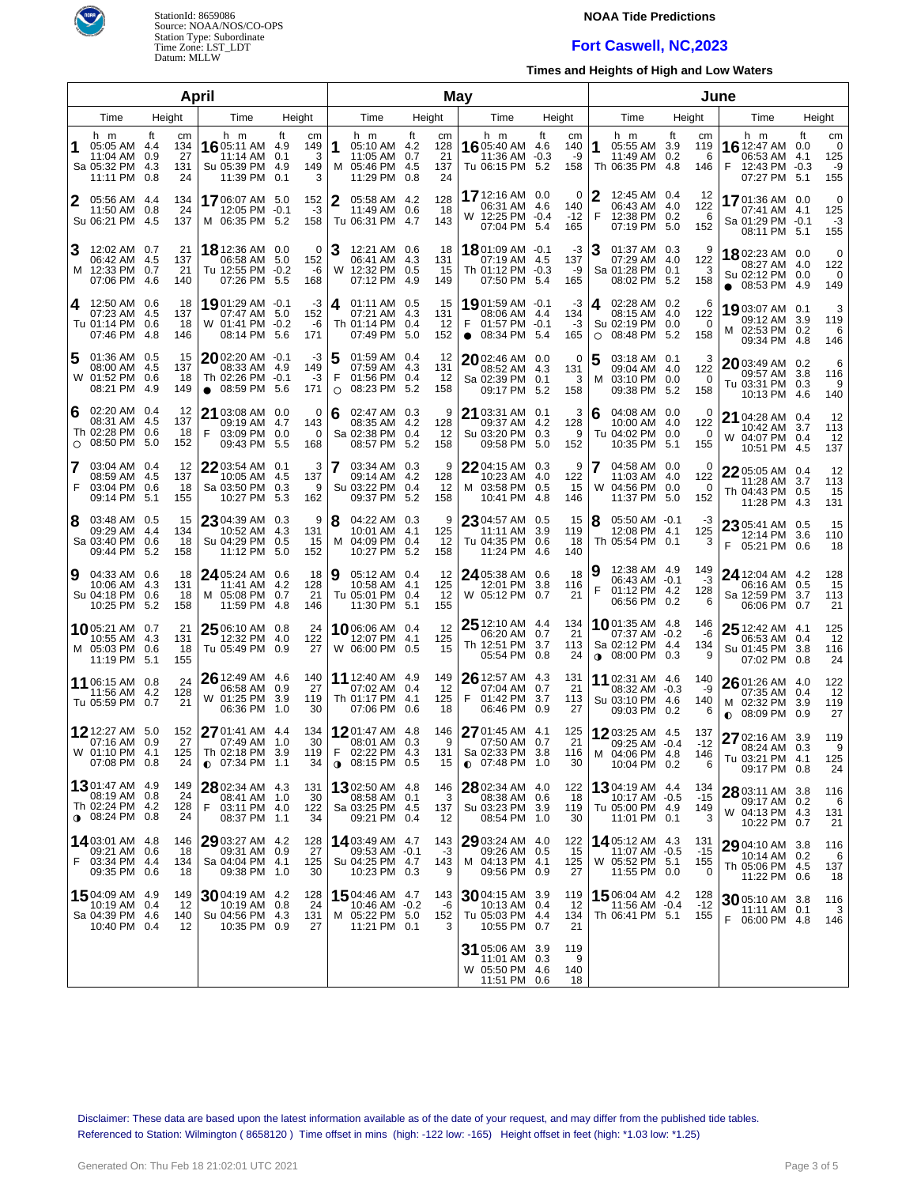

# **NOAA Tide Predictions**

## **Fort Caswell, NC,2023**

**Times and Heights of High and Low Waters**

|                |                                                                               |                                                  | April                                                                           |                                         |             |                                                                            |           | May                          |                                                                              |                                                    |        |                                                                                        |                                     | June |                                                                                |     |                                 |
|----------------|-------------------------------------------------------------------------------|--------------------------------------------------|---------------------------------------------------------------------------------|-----------------------------------------|-------------|----------------------------------------------------------------------------|-----------|------------------------------|------------------------------------------------------------------------------|----------------------------------------------------|--------|----------------------------------------------------------------------------------------|-------------------------------------|------|--------------------------------------------------------------------------------|-----|---------------------------------|
| Time<br>Height |                                                                               |                                                  | Time                                                                            | Height                                  |             | Time                                                                       | Height    |                              | Time                                                                         | Height                                             |        | Time                                                                                   | Height                              |      | Time                                                                           |     | Height                          |
|                | h m<br>05:05 AM 4.4<br>11:04 AM<br>Sa 05:32 PM 4.3<br>11:11 PM                | ft<br>cm<br>134<br>27<br>0.9<br>131<br>0.8<br>24 | h m<br>16 05:11 AM 4.9<br>11:14 AM<br>Su 05:39 PM 4.9<br>11:39 PM 0.1           | ft<br>cm<br>149<br>3<br>0.1<br>149<br>3 | 11          | h m<br>05:10 AM 4.2<br>11:05 AM 0.7<br>M 05:46 PM 4.5<br>11:29 PM          | ft<br>0.8 | cm<br>128<br>21<br>137<br>24 | h m<br><b>16</b> 05:40 AM 4.6<br>11:36 AM<br>Tu 06:15 PM 5.2                 | ft<br>cm<br>140<br>$-0.3$<br>-9<br>158             | 1      | h m<br>05:55 AM 3.9<br>11:49 AM 0.2<br>Th 06:35 PM 4.8                                 | ft<br>cm<br>119<br>6<br>146         | F    | h m<br><b>16</b> 12:47 AM 0.0<br>06:53 AM 4.1<br>12:43 PM -0.3<br>07:27 PM 5.1 | ft  | cm<br>0<br>125<br>-9<br>155     |
| 2              | 05:56 AM 4.4<br>11:50 AM 0.8<br>Su 06:21 PM 4.5                               | 134<br>24<br>137                                 | 1706:07 AM 5.0<br>12:05 PM -0.1<br>M 06:35 PM 5.2                               | 152<br>$-3$<br>158                      | 2           | 05:58 AM 4.2<br>11:49 AM 0.6<br>Tu 06:31 PM 4.7                            |           | 128<br>18<br>143             | 17 12:16 AM 0.0<br>06:31 AM 4.6<br>W 12:25 PM -0.4<br>07:04 PM               | $\Omega$<br>140<br>$-12$<br>5.4<br>165             | F      | 12:45 AM 0.4<br>06:43 AM 4.0<br>12:38 PM 0.2<br>07:19 PM 5.0                           | 12<br>122<br>6<br>152               |      | 17 01:36 AM 0.0<br>07:41 AM 4.1<br>Sa 01:29 PM -0.1<br>08:11 PM 5.1            |     | $\mathbf 0$<br>125<br>-3<br>155 |
| 3              | 12:02 AM 0.7<br>06:42 AM 4.5<br>M 12:33 PM 0.7<br>07:06 PM                    | 21<br>137<br>21<br>-4.6<br>140                   | 18 12:36 AM 0.0<br>06:58 AM 5.0<br>Tu 12:55 PM -0.2<br>07:26 PM                 | $\Omega$<br>152<br>-6<br>5.5<br>168     | 3           | 12:21 AM 0.6<br>06:41 AM 4.3<br>W 12:32 PM 0.5<br>07:12 PM                 | 4.9       | 18<br>131<br>15<br>149       | 1801:09 AM -0.1<br>07:19 AM 4.5<br>Th 01:12 PM -0.3<br>07:50 PM              | -3<br>137<br>-9<br>5.4<br>165                      | 3      | 01:37 AM 0.3<br>07:29 AM 4.0<br>Sa 01:28 PM 0.1<br>08:02 PM 5.2                        | 9<br>122<br>3<br>158                |      | 1802:23 AM 0.0<br>08:27 AM 4.0<br>Su 02:12 PM 0.0<br>$\bullet$ 08:53 PM 4.9    |     | $\mathbf 0$<br>122<br>0<br>149  |
| 4              | 12:50 AM 0.6<br>07:23 AM<br>Tu 01:14 PM 0.6<br>07:46 PM                       | 18<br>137<br>- 4.5<br>18<br>-4.8<br>146          | 19 01:29 AM -0.1<br>07:47 AM 5.0<br>W 01:41 PM -0.2<br>08:14 PM                 | -3<br>152<br>-6<br>5.6<br>171           | 4           | 01:11 AM 0.5<br>07:21 AM 4.3<br>Th 01:14 PM 0.4<br>07:49 PM                | 5.0       | 15<br>131<br>12<br>152       | 19 01:59 AM -0.1<br>08:06 AM 4.4<br>01:57 PM -0.1<br>F<br>$\bullet$ 08:34 PM | -3<br>134<br>-3<br>5.4<br>165                      | 4<br>O | 02:28 AM 0.2<br>08:15 AM 4.0<br>Su 02:19 PM 0.0<br>08:48 PM 5.2                        | 6<br>122<br>0<br>158                |      | 19 03:07 AM 0.1<br>09:12 AM 3.9<br>M 02:53 PM 0.2<br>09:34 PM 4.8              |     | 3<br>119<br>6<br>146            |
| 5              | 01:36 AM 0.5<br>08:00 AM<br>W 01:52 PM 0.6<br>08:21 PM                        | 15<br>- 4.5<br>137<br>18<br>4.9<br>149           | $20$ 02:20 AM -0.1<br>08:33 AM 4.9<br>Th 02:26 PM -0.1<br>08:59 PM<br>$\bullet$ | -3<br>149<br>$-3$<br>5.6<br>171         | 5<br>F<br>O | 01:59 AM 0.4<br>07:59 AM 4.3<br>01:56 PM 0.4<br>08:23 PM                   | 5.2       | 12<br>131<br>12<br>158       | $20$ 02:46 AM<br>08:52 AM 4.3<br>Sa 02:39 PM 0.1<br>09:17 PM                 | 0<br>0.0<br>131<br>3<br>5.2<br>158                 | 5<br>M | $03:18$ AM $0.1$<br>09:04 AM 4.0<br>03:10 PM 0.0<br>09:38 PM                           | 122<br>$\Omega$<br>5.2<br>158       |      | $2003:49$ AM 0.2<br>09:57 AM 3.8<br>Tu 03:31 PM 0.3<br>10:13 PM 4.6            |     | 6<br>116<br>9<br>140            |
| 6<br>$\circ$   | 02:20 AM 0.4<br>08:31 AM<br>Th 02:28 PM 0.6<br>08:50 PM                       | 12<br>-4.5<br>137<br>18<br>5.0<br>152            | 21 03:08 AM 0.0<br>09:19 AM 4.7<br>03:09 PM 0.0<br>F<br>09:43 PM                | 0<br>143<br>0<br>5.5<br>168             | 6           | 02:47 AM 0.3<br>08:35 AM 4.2<br>Sa 02:38 PM 0.4<br>08:57 PM                | -5.2      | 9<br>128<br>12<br>158        | 21 03:31 AM 0.1<br>09:37 AM 4.2<br>Su 03:20 PM 0.3<br>09:58 PM               | 3<br>128<br>9<br>5.0<br>152                        | 6      | 04:08 AM 0.0<br>10:00 AM 4.0<br>Tu 04:02 PM 0.0<br>10:35 PM                            | 0<br>122<br>$\Omega$<br>-5.1<br>155 |      | 21 04:28 AM 0.4<br>10:42 AM 3.7<br>W 04:07 PM 0.4<br>10:51 PM 4.5              |     | 12<br>113<br>12<br>137          |
| F              | 03:04 AM 0.4<br>08:59 AM 4.5<br>03:04 PM 0.6<br>09:14 PM                      | 12<br>137<br>18<br>5.1<br>155                    | 2203:54 AM 0.1<br>10:05 AM 4.5<br>Sa 03:50 PM 0.3<br>10:27 PM                   | 3<br>137<br>9<br>162<br>5.3             |             | 03:34 AM 0.3<br>09:14 AM 4.2<br>Su 03:22 PM 0.4<br>09:37 PM                | 5.2       | 9<br>128<br>12<br>158        | 2204:15 AM<br>10:23 AM<br>M 03:58 PM<br>10:41 PM                             | 9<br>0.3<br>4.0<br>122<br>0.5<br>15<br>4.8<br>146  |        | 04:58 AM 0.0<br>11:03 AM 4.0<br>W 04:56 PM 0.0<br>11:37 PM                             | 0<br>122<br>$\Omega$<br>5.0<br>152  |      | $2205:05$ AM $0.4$<br>11:28 AM<br>Th 04:43 PM 0.5<br>11:28 PM 4.3              | 3.7 | 12<br>113<br>15<br>131          |
| 8              | 03:48 AM 0.5<br>09:29 AM 4.4<br>Sa 03:40 PM 0.6<br>09:44 PM                   | 15<br>134<br>18<br>5.2<br>158                    | 23 04:39 AM 0.3<br>10:52 AM 4.3<br>Su 04:29 PM 0.5<br>11:12 PM                  | 9<br>131<br>15<br>-5.0<br>152           | 18          | 04:22 AM 0.3<br>10:01 AM 4.1<br>M 04:09 PM 0.4<br>10:27 PM                 | -5.2      | 9<br>125<br>12<br>158        | 2304:57 AM<br>11:11 AM<br>Tu 04:35 PM<br>11:24 PM                            | 15<br>0.5<br>3.9<br>119<br>0.6<br>18<br>4.6<br>140 | 8      | $05:50$ AM $-0.1$<br>12:08 PM 4.1<br>Th 05:54 PM 0.1                                   | -3<br>125<br>3                      | F.   | 23 05:41 AM 0.5<br>12:14 PM<br>05:21 PM 0.6                                    | 3.6 | 15<br>110<br>18                 |
| 9              | 04:33 AM 0.6<br>10:06 AM 4.3<br>Su 04:18 PM 0.6<br>10:25 PM                   | 18<br>131<br>18<br>5.2<br>158                    | 24 05:24 AM 0.6<br>11:41 AM 4.2<br>M 05:08 PM 0.7<br>11:59 PM                   | 18<br>128<br>21<br>-4.8<br>146          | Ι9          | 05:12 AM 0.4<br>10:58 AM 4.1<br>Tu 05:01 PM 0.4<br>11:30 PM                | 5.1       | 12<br>125<br>12<br>155       | 24 05:38 AM 0.6<br>12:01 PM<br>W 05:12 PM                                    | 18<br>3.8<br>116<br>0.7<br>21                      | F      | 12:38 AM 4.9<br>06:43 AM -0.1<br>01:12 PM 4.2<br>06:56 PM 0.2                          | 149<br>-3<br>128<br>6               |      | 24 12:04 AM 4.2<br>06:16 AM 0.5<br>Sa 12:59 PM 3.7<br>06:06 PM 0.7             |     | 128<br>15<br>113<br>21          |
|                | 1005:21 AM 0.7<br>10:55 AM 4.3<br>M 05:03 PM 0.6<br>11:19 PM                  | 21<br>131<br>18<br>- 5.1<br>155                  | 25 06:10 AM 0.8<br>12:32 PM<br>Tu 05:49 PM 0.9                                  | 24<br>122<br>-4.0<br>27                 |             | 10 06:06 AM  0.4<br>12:07 PM 4.1<br>W 06:00 PM 0.5                         |           | 12<br>125<br>15              | 25 12:10 AM 4.4<br>06:20 AM<br>Th 12:51 PM 3.7<br>05:54 PM                   | 134<br>21<br>0.7<br>113<br>0.8<br>24               |        | <b>10</b> 01:35 AM 4.8<br>07:37 AM -0.2<br>Sa 02:12 PM 4.4<br>$0.08:00 \text{ PM}$ 0.3 | 146<br>-6<br>134<br>9               |      | $2512:42$ AM $4.1$<br>06:53 AM 0.4<br>Su 01:45 PM 3.8<br>07:02 PM 0.8          |     | 125<br>12<br>116<br>24          |
|                | 11 06:15 AM 0.8<br>11:56 AM 4.2<br>Tu 05:59 PM                                | 24<br>128<br>0.7<br>21                           | $26$ 12:49 AM 4.6<br>06:58 AM 0.9<br>W 01:25 PM 3.9<br>06:36 PM                 | 140<br>27<br>119<br>1.0<br>30           |             | <b>11</b> 12:40 AM 4.9<br>07:02 AM 0.4<br>Th 01:17 PM 4.1<br>07:06 PM 0.6  |           | 149<br>-12<br>125<br>18      | $2612:57$ AM $4.3$<br>07:04 AM<br>F<br>01:42 PM<br>06:46 PM                  | 131<br>21<br>0.7<br>3.7<br>113<br>27<br>0.9        |        | 11 02:31 AM 4.6<br>08:32 AM -0.3<br>Su 03:10 PM 4.6<br>09:03 PM 0.2                    | 140<br>-9<br>140<br>6               | 0    | 26 01:26 AM 4.0<br>07:35 AM 0.4<br>M 02:32 PM 3.9<br>08:09 PM 0.9              |     | 122<br>12<br>119<br>27          |
|                | <b>12</b> 12:27 AM 5.0<br>07:16 AM 0.9<br>W 01:10 PM 4.1<br>07:08 PM 0.8      | 152<br>27<br>125<br>24                           | 27 01:41 AM 4.4<br>07:49 AM 1.0<br>Th 02:18 PM 3.9<br>$Q$ 07:34 PM 1.1          | 134<br>30<br>119<br>34                  |             | 1201:47 AM 4.8<br>08:01 AM 0.3<br>F 02:22 PM 4.3<br>$\bullet$ 08:15 PM 0.5 |           | 146<br>9<br>131  <br>15      | 27 01:45 AM 4.1<br>07:50 AM 0.7<br>Sa 02:33 PM 3.8<br>$Q$ 07:48 PM 1.0       | 125<br>21<br>116<br>30                             |        | 1203:25 AM 4.5<br>09:25 AM -0.4<br>M 04:06 PM 4.8<br>10:04 PM 0.2                      | 137<br>$-12$<br>146<br>6            |      | 27 02:16 AM 3.9<br>08:24 AM 0.3<br>Tu 03:21 PM 4.1<br>09:17 PM 0.8             |     | 119<br>9<br>125<br>24           |
|                | <b>13</b> 01:47 AM 4.9<br>08:19 AM 0.8<br>Th 02:24 PM 4.2<br>$0.08:24$ PM 0.8 | 149<br>24<br>128<br>24                           | 28 02:34 AM 4.3<br>08:41 AM 1.0<br>F<br>03:11 PM 4.0<br>08:37 PM 1.1            | 131<br>30<br>122<br>34                  |             | 1302:50 AM 4.8<br>08:58 AM 0.1<br>Sa 03:25 PM 4.5<br>09:21 PM 0.4          |           | 146<br>3<br>137<br>12        | 28 02:34 AM 4.0<br>08:38 AM<br>Su 03:23 PM<br>08:54 PM 1.0                   | 122<br>0.6<br>18<br>3.9<br>119<br>30               |        | <b>13</b> 04:19 AM 4.4<br>10:17 AM -0.5<br>Tu 05:00 PM 4.9<br>11:01 PM 0.1             | 134<br>$-15$<br>149<br>3            |      | 28 03:11 AM 3.8<br>09:17 AM 0.2<br>W 04:13 PM 4.3<br>10:22 PM 0.7              |     | 116<br>6<br>131<br>21           |
| F              | 1403:01 AM 4.8<br>09:21 AM 0.6<br>03:34 PM 4.4<br>09:35 PM 0.6                | 146<br>18<br>134<br>18                           | 29 03:27 AM 4.2<br>09:31 AM 0.9<br>Sa 04:04 PM 4.1<br>09:38 PM 1.0              | 128<br>27<br>125<br>30                  |             | 14 03:49 AM 4.7<br>09:53 AM -0.1<br>Su 04:25 PM 4.7<br>10:23 PM 0.3        |           | 143<br>-3<br>143<br>9        | 29 03:24 AM 4.0<br>09:26 AM<br>M 04:13 PM 4.1<br>09:56 PM 0.9                | 122<br>0.5<br>15<br>125<br>27                      |        | 1405:12 AM 4.3<br>11:07 AM -0.5<br>W 05:52 PM 5.1<br>11:55 PM 0.0                      | 131<br>$-15$<br>155<br>0            |      | 29 04:10 AM 3.8<br>10:14 AM 0.2<br>Th 05:06 PM 4.5<br>11:22 PM 0.6             |     | 116<br>6<br>137<br>18           |
|                | 15 04:09 AM 4.9<br>10:19 AM 0.4<br>Sa 04:39 PM 4.6<br>10:40 PM 0.4            | 149<br>12<br>140<br>12                           | $3004:19$ AM 4.2<br>10:19 AM 0.8<br>Su 04:56 PM 4.3<br>10:35 PM 0.9             | 128<br>24<br>131<br>27                  |             | 1504:46 AM 4.7<br>10:46 AM -0.2<br>M 05:22 PM 5.0<br>11:21 PM 0.1          |           | 143<br>-6<br>152<br>3        | 3004:15 AM 3.9<br>10:13 AM<br>Tu 05:03 PM 4.4<br>10:55 PM 0.7                | 119<br>0.4<br>12<br>134<br>21                      |        | <b>15</b> 06:04 AM 4.2<br>11:56 AM -0.4<br>Th 06:41 PM 5.1                             | 128<br>$-12$<br>155                 |      | 30 05:10 AM 3.8<br>11:11 AM 0.1<br>F 06:00 PM 4.8                              |     | 116<br>3<br>146                 |
|                |                                                                               |                                                  |                                                                                 |                                         |             |                                                                            |           |                              | 31 05:06 AM 3.9<br>11:01 AM<br>W 05:50 PM 4.6<br>11:51 PM 0.6                | 119<br>0.3<br>9<br>140<br>18                       |        |                                                                                        |                                     |      |                                                                                |     |                                 |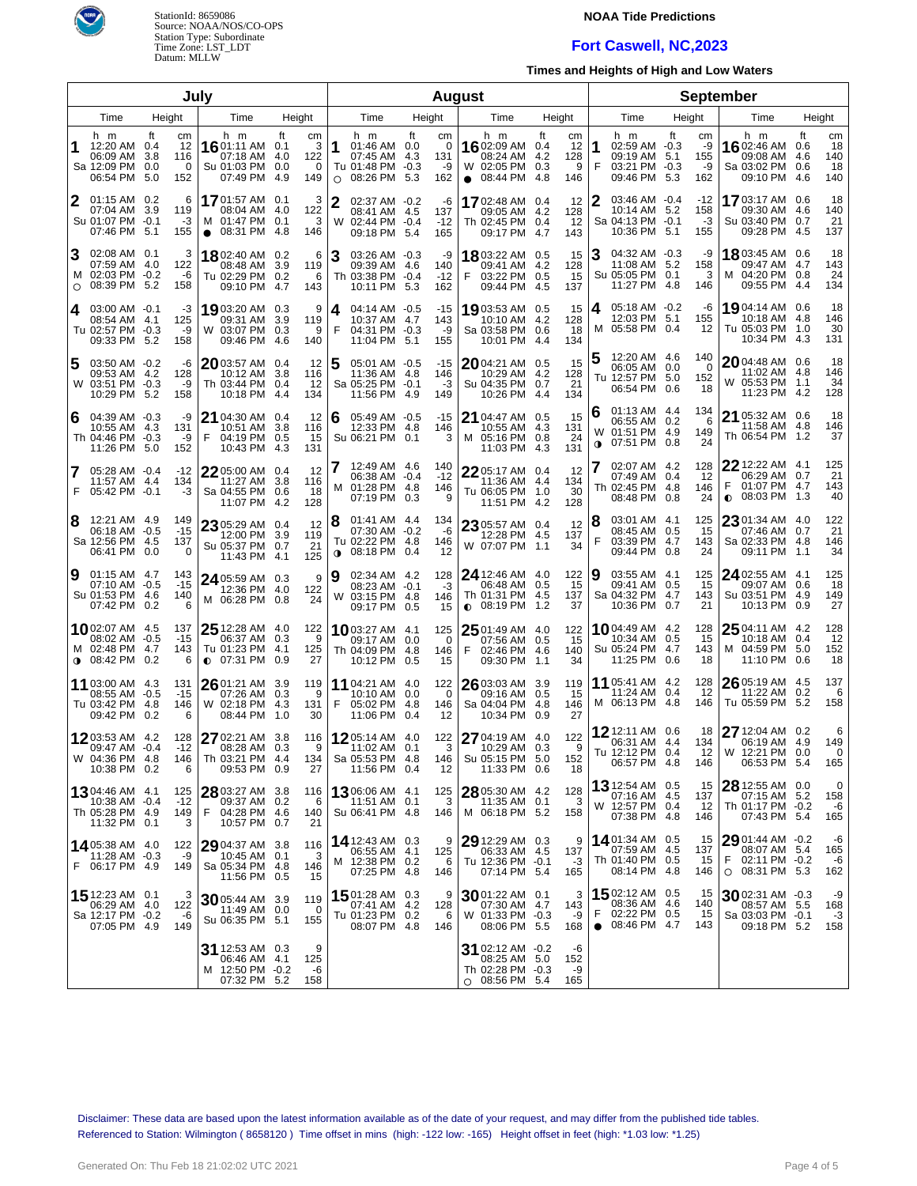

## **NOAA Tide Predictions**

# **Fort Caswell, NC,2023**

**Times and Heights of High and Low Waters**

| Julv           |                                                                            |                  |                             |                                                                           |                                              |                |                                                                                      | <b>August</b> |                             |                                                                          |                                |                             |                       |                                                                           |    |                              |                                                                                               |                         |                              |
|----------------|----------------------------------------------------------------------------|------------------|-----------------------------|---------------------------------------------------------------------------|----------------------------------------------|----------------|--------------------------------------------------------------------------------------|---------------|-----------------------------|--------------------------------------------------------------------------|--------------------------------|-----------------------------|-----------------------|---------------------------------------------------------------------------|----|------------------------------|-----------------------------------------------------------------------------------------------|-------------------------|------------------------------|
| Height<br>Time |                                                                            |                  | Time                        | Height                                                                    |                                              | Time<br>Height |                                                                                      |               | Time                        | Height                                                                   |                                |                             | Time                  | Height                                                                    |    | Time                         | Height                                                                                        |                         |                              |
|                | h m<br>12:20 AM 0.4<br>06:09 AM<br>Sa 12:09 PM<br>06:54 PM 5.0             | ft<br>3.8<br>0.0 | сm<br>12<br>116<br>0<br>152 | h m<br>1601:11 AM 0.1<br>07:18 AM<br>Su 01:03 PM<br>07:49 PM              | ft<br>cm<br>122<br>-4.0<br>0.0<br>4.9<br>149 | 1<br>3<br>0    | h m<br>01:46 AM 0.0<br>07:45 AM 4.3<br>Tu 01:48 PM -0.3<br>08:26 PM 5.3<br>O         | ft            | cm<br>0<br>131<br>-9<br>162 | h m<br>1602:09 AM<br>08:24 AM<br>W 02:05 PM<br>$\bullet$ 08:44 PM        | ft<br>0.4<br>4.2<br>0.3<br>4.8 | cm<br>12<br>128<br>9<br>146 | 1<br>F                | h m<br>02:59 AM -0.3<br>09:19 AM 5.1<br>03:21 PM -0.3<br>09:46 PM 5.3     | ft | cm<br>-9<br>155<br>-9<br>162 | h m<br>16 02:46 AM<br>09:08 AM<br>Sa 03:02 PM<br>09:10 PM 4.6                                 | ft<br>0.6<br>4.6<br>0.6 | cm<br>18<br>140<br>18<br>140 |
| 2              | $01:15$ AM $0.2$<br>07:04 AM<br>Su 01:07 PM -0.1<br>07:46 PM 5.1           | 3.9              | 6<br>119<br>$-3$<br>155     | 1701:57 AM 0.1<br>08:04 AM<br>M 01:47 PM<br>08:31 PM<br>$\bullet$         | 122<br>-4.0<br>0.1<br>-4.8<br>146            | 3<br>3         | $\mathbf{2}$<br>02:37 AM -0.2<br>08:41 AM 4.5<br>02:44 PM -0.4<br>W<br>09:18 PM 5.4  |               | -6<br>137<br>$-12$<br>165   | 1702:48 AM 0.4<br>09:05 AM<br>Th 02:45 PM<br>09:17 PM 4.7                | 4.2<br>0.4                     | 12<br>128<br>12<br>143      | 2                     | 03:46 AM -0.4<br>10:14 AM 5.2<br>Sa 04:13 PM -0.1<br>10:36 PM 5.1         |    | $-12$<br>158<br>-3<br>155    | 1703:17 AM 0.6<br>09:30 AM 4.6<br>Su 03:40 PM<br>09:28 PM 4.5                                 | 0.7                     | 18<br>140<br>21<br>137       |
| Ι3<br>$\circ$  | 02:08 AM 0.1<br>07:59 AM<br>M 02:03 PM -0.2<br>08:39 PM 5.2                | -4.0             | 3<br>122<br>-6<br>158       | 18 02:40 AM 0.2<br>08:48 AM<br>Tu 02:29 PM<br>09:10 PM                    | 3.9<br>119<br>0.2<br>4.7<br>143              | 6<br>6         | 3<br>03:26 AM -0.3<br>09:39 AM 4.6<br>Th 03:38 PM -0.4<br>10:11 PM 5.3               |               | -9<br>140<br>$-12$<br>162   | 18 03:22 AM 0.5<br>09:41 AM<br>03:22 PM<br>F<br>09:44 PM 4.5             | 4.2<br>0.5                     | 15<br>128<br>15<br>137      | З                     | 04:32 AM -0.3<br>11:08 AM 5.2<br>Su 05:05 PM 0.1<br>11:27 PM 4.8          |    | -9<br>158<br>3<br>146        | 18 03:45 AM 0.6<br>09:47 AM 4.7<br>M 04:20 PM 0.8<br>09:55 PM 4.4                             |                         | 18<br>143<br>24<br>134       |
| 4              | $03:00$ AM $-0.1$<br>08:54 AM<br>Tu 02:57 PM -0.3<br>09:33 PM 5.2          | -4.1             | -3<br>125<br>-9<br>158      | 19 03:20 AM 0.3<br>09:31 AM<br>W 03:07 PM<br>09:46 PM                     | 9<br>3.9<br>119<br>0.3<br>140<br>-4.6        | 9              | 04:14 AM -0.5<br>4<br>10:37 AM 4.7<br>F<br>04:31 PM -0.3<br>11:04 PM 5.1             |               | -15<br>143<br>-9<br>155     | 1903:53 AM 0.5<br>10:10 AM<br>Sa 03:58 PM 0.6<br>10:01 PM 4.4            | 4.2                            | 15<br>128<br>18<br>134      | 4                     | 05:18 AM -0.2<br>12:03 PM 5.1<br>M 05:58 PM 0.4                           |    | -6<br>155<br>12              | 19 04:14 AM 0.6<br>10:18 AM 4.8<br>Tu 05:03 PM 1.0<br>10:34 PM 4.3                            |                         | 18<br>146<br>30<br>131       |
| 5              | 03:50 AM -0.2<br>09:53 AM<br>W 03:51 PM -0.3<br>10:29 PM 5.2               | -4.2             | -6<br>128<br>-9<br>158      | 2003:57 AM 0.4<br>10:12 AM<br>Th 03:44 PM 0.4<br>10:18 PM                 | 12<br>3.8<br>116<br>12<br>-4.4<br>134        |                | 5<br>05:01 AM -0.5<br>11:36 AM 4.8<br>Sa 05:25 PM -0.1<br>11:56 PM 4.9               |               | -15<br>146<br>$-3$<br>149   | 2004:21 AM 0.5<br>10:29 AM 4.2<br>Su 04:35 PM 0.7<br>10:26 PM 4.4        |                                | 15<br>128<br>21<br>134      |                       | 12:20 AM 4.6<br>06:05 AM 0.0<br>Tu 12:57 PM 5.0<br>06:54 PM 0.6           |    | 140<br>0<br>152<br>18        | 2004:48 AM 0.6<br>11:02 AM 4.8<br>W 05:53 PM 1.1<br>11:23 PM 4.2                              |                         | 18<br>146<br>34<br>128       |
| 6              | 04:39 AM -0.3<br>10:55 AM<br>Th 04:46 PM -0.3<br>11:26 PM 5.0              | -4.3             | -9<br>131<br>-9<br>152      | 21 04:30 AM 0.4<br>10:51 AM<br>F<br>04:19 PM<br>10:43 PM                  | 12<br>3.8<br>116<br>0.5<br>15<br>131<br>-4.3 |                | 05:49 AM -0.5<br>6<br>12:33 PM 4.8<br>Su 06:21 PM 0.1                                |               | $-15$<br>146<br>3           | 21 04:47 AM 0.5<br>10:55 AM<br>M 05:16 PM 0.8<br>11:03 PM 4.3            | 4.3                            | 15<br>131<br>24<br>131      | 6<br>W<br>$\mathbf 0$ | 01:13 AM 4.4<br>06:55 AM 0.2<br>01:51 PM 4.9<br>07:51 PM 0.8              |    | 134<br>6<br>149<br>24        | 21 05:32 AM 0.6<br>11:58 AM 4.8<br>Th 06:54 PM 1.2                                            |                         | 18<br>146<br>37              |
| 7              | 05:28 AM -0.4<br>11:57 AM<br>F 05:42 PM -0.1                               | -4.4             | $-12$<br>134<br>-3          | 22 05:00 AM 0.4<br>11:27 AM<br>Sa 04:55 PM 0.6<br>11:07 PM 4.2            | 12<br>3.8<br>116<br>18<br>128                |                | 12:49 AM 4.6<br>06:38 AM -0.4<br>01:28 PM 4.8<br>м<br>07:19 PM 0.3                   |               | 140<br>$-12$<br>146<br>9    | 22 05:17 AM 0.4<br>11:36 AM 4.4<br>Tu 06:05 PM<br>11:51 PM 4.2           | 1.0                            | 12<br>134<br>30<br>128      |                       | 02:07 AM 4.2<br>07:49 AM 0.4<br>Th 02:45 PM 4.8<br>08:48 PM 0.8           |    | 128<br>12<br>146<br>24       | $22$ 12:22 AM $\,$ 4.1 $\,$<br>06:29 AM 0.7<br>F<br>01:07 PM 4.7<br>08:03 PM 1.3<br>$\bullet$ |                         | 125<br>21<br>143<br>40       |
| 8              | 12:21 AM 4.9<br>06:18 AM -0.5<br>Sa 12:56 PM 4.5<br>06:41 PM               | 0.0              | 149<br>$-15$<br>137<br>0    | 23 05:29 AM 0.4<br>12:00 PM<br>Su 05:37 PM 0.7<br>11:43 PM 4.1            | 12<br>3.9<br>119<br>21<br>125                |                | 8<br>01:41 AM 4.4<br>07:30 AM -0.2<br>Tu 02:22 PM 4.8<br>08:18 PM 0.4<br>$\mathbf 0$ |               | 134<br>-6<br>146<br>12      | 23 05:57 AM 0.4<br>12:28 PM 4.5<br>W 07:07 PM 1.1                        |                                | 12<br>137<br>34             | 18<br>F               | 03:01 AM 4.1<br>08:45 AM 0.5<br>03:39 PM 4.7<br>09:44 PM 0.8              |    | 125<br>15<br>143<br>24       | $2301:34$ AM 4.0<br>07:46 AM<br>Sa 02:33 PM 4.8<br>09:11 PM                                   | 0.7<br>1.1              | 122<br>21<br>146<br>34       |
| 9              | $01:15$ AM 4.7<br>07:10 AM -0.5<br>Su 01:53 PM 4.6<br>07:42 PM             | 0.2              | 143<br>$-15$<br>140<br>6    | 24 05:59 AM 0.3<br>12:36 PM<br>M 06:28 PM 0.8                             | 122<br>-4.0<br>24                            | 19<br>9        | 02:34 AM 4.2<br>08:23 AM -0.1<br>W 03:15 PM 4.8<br>09:17 PM 0.5                      |               | 128<br>-3<br>146<br>15      | 24 12:46 AM 4.0<br>06:48 AM<br>Th 01:31 PM 4.5<br>$\bullet$ 08:19 PM     | 0.5<br>1.2                     | 122<br>15<br>137<br>37      | 19                    | 03:55 AM 4.1<br>09:41 AM 0.5<br>Sa 04:32 PM 4.7<br>10:36 PM 0.7           |    | 125<br>15<br>143<br>21       | 24 02:55 AM 4.1<br>09:07 AM<br>Su 03:51 PM 4.9<br>10:13 PM                                    | 0.6<br>0.9              | 125<br>18<br>149<br>27       |
|                | 1002:07 AM 4.5<br>08:02 AM<br>M 02:48 PM 4.7<br>$0.08:42 \text{ PM}$       | -0.5<br>0.2      | 137<br>$-15$<br>143<br>6    | $2512:28$ AM $4.0$<br>06:37 AM<br>Tu 01:23 PM<br>$O$ 07:31 PM             | 122<br>0.3<br>9<br>4.1<br>125<br>27<br>0.9   |                | <b>10</b> 03:27 AM 4.1<br>09:17 AM 0.0<br>Th 04:09 PM 4.8<br>10:12 PM 0.5            |               | 125<br>0<br>146<br>15       | $2501:49$ AM 4.0<br>07:56 AM 0.5<br>02:46 PM 4.6<br>F<br>09:30 PM        | 1.1                            | 122<br>15<br>140<br>34      |                       | <b>10</b> 04:49 AM 4.2<br>10:34 AM 0.5<br>Su 05:24 PM 4.7<br>11:25 PM 0.6 |    | 128<br>15<br>143<br>18       | $2504:11$ AM 4.2<br>10:18 AM<br>M 04:59 PM 5.0<br>11:10 PM                                    | 0.4<br>0.6              | 128<br>12<br>152<br>18       |
|                | 11 03:00 AM 4.3<br>08:55 AM -0.5<br>Tu 03:42 PM<br>09:42 PM 0.2            | -4.8             | 131<br>$-15$<br>146<br>6    | 26 01:21 AM 3.9<br>07:26 AM<br>W 02:18 PM<br>08:44 PM                     | 119<br>0.3<br>9<br>4.3<br>131<br>1.0<br>30   |                | <b>11</b> 04:21 AM 4.0<br>10:10 AM 0.0<br>F<br>05:02 PM 4.8<br>11:06 PM 0.4          |               | 122<br>0<br>146<br>-12      | 26 03:03 AM 3.9<br>09:16 AM<br>Sa 04:04 PM 4.8<br>10:34 PM               | 0.5<br>0.9                     | 119<br>15<br>146<br>27      |                       | <b>11</b> 05:41 AM 4.2<br>11:24 AM 0.4<br>M 06:13 PM 4.8                  |    | 128<br>12<br>146             | 26 05:19 AM 4.5<br>11:22 AM<br>Tu 05:59 PM 5.2                                                | 0.2                     | 137<br>6<br>158              |
|                | 1203:53 AM 4.2<br>09:47 AM -0.4<br>W 04:36 PM 4.8<br>10:38 PM 0.2          |                  | 128<br>-12<br>146<br>6      | 27 02:21 AM 3.8<br>08:28 AM 0.3<br>Th 03:21 PM 4.4<br>09:53 PM 0.9        | 116<br>134<br>27                             | 9              | $1205:14 AM$ 4.0<br>11:02 AM 0.1<br>Sa 05:53 PM 4.8<br>11:56 PM 0.4                  |               | 122<br>3<br>146<br>12       | 27 04:19 AM 4.0<br>10:29 AM 0.3<br>Su 05:15 PM 5.0<br>11:33 PM 0.6       |                                | 122<br>9<br>152<br>18       |                       | 12 12:11 AM 0.6<br>06:31 AM 4.4<br>Tu 12:12 PM 0.4<br>06:57 PM 4.8        |    | 18<br>134<br>12<br>146       | 27 12:04 AM 0.2<br>06:19 AM 4.9<br>W 12:21 PM 0.0<br>06:53 PM 5.4                             |                         | 6<br>149<br>0<br>165         |
|                | 1304:46 AM 4.1<br>10:38 AM -0.4<br>Th 05:28 PM 4.9<br>11:32 PM 0.1         |                  | 125<br>$-12$<br>149<br>3    | 28 03:27 AM 3.8<br>09:37 AM 0.2<br>F.<br>04:28 PM 4.6<br>10:57 PM 0.7     | 116<br>6<br>140<br>21                        |                | 1306:06 AM 4.1<br>11:51 AM 0.1<br>Su 06:41 PM 4.8                                    |               | 125<br>3<br>146             | 28 05:30 AM 4.2<br>11:35 AM 0.1<br>M 06:18 PM 5.2                        |                                | 128<br>-3<br>158            |                       | <b>13</b> 12:54 AM 0.5<br>07:16 AM 4.5<br>W 12:57 PM 0.4<br>07:38 PM 4.8  |    | 15<br>137<br>-12<br>146      | 28 12:55 AM 0.0<br>07:15 AM 5.2<br>Th 01:17 PM -0.2<br>07:43 PM 5.4                           |                         | 0<br>158<br>-6<br>165        |
|                | 14 05:38 AM 4.0<br>11:28 AM -0.3<br>F 06:17 PM 4.9                         |                  | 122<br>-9<br>149            | 29 04:37 AM 3.8<br>10:45 AM 0.1<br>Sa 05:34 PM 4.8<br>11:56 PM 0.5        | 116<br>3<br>146<br>15                        |                | 14 12:43 AM 0.3<br>06:55 AM 4.1<br>M 12:38 PM 0.2<br>07:25 PM 4.8                    |               | 9<br>125<br>6<br>146        | 29 12:29 AM 0.3<br>06:33 AM 4.5<br>Tu 12:36 PM -0.1<br>07:14 PM 5.4      |                                | 9<br>137<br>-3<br>165       |                       | 1401:34 AM 0.5<br>07:59 AM 4.5<br>Th 01:40 PM 0.5<br>08:14 PM 4.8         |    | 15<br>137<br>15<br>146       | 29 01:44 AM -0.2<br>08:07 AM 5.4<br>02:11 PM -0.2<br>$O$ 08:31 PM 5.3                         |                         | -6<br>165<br>-6<br>162       |
|                | <b>15</b> 12:23 AM 0.1<br>06:29 AM 4.0<br>Sa 12:17 PM -0.2<br>07:05 PM 4.9 |                  | 3<br>122<br>-6<br>149       | 30 05:44 AM 3.9<br>11:49 AM 0.0<br>Su 06:35 PM 5.1                        | 119<br>$\overline{\mathbf{0}}$<br>155        |                | 1501:28 AM 0.3<br>07:41 AM 4.2<br>Tu 01:23 PM 0.2<br>08:07 PM 4.8                    |               | 9<br>128<br>6<br>146        | 30 01:22 AM 0.1<br>07:30 AM 4.7<br>W 01:33 PM -0.3<br>08:06 PM 5.5       |                                | 3<br>143<br>-9<br>168       | F<br>$\bullet$        | <b>15</b> 02:12 AM 0.5<br>08:36 AM 4.6<br>02:22 PM 0.5<br>08:46 PM 4.7    |    | 15<br>140<br>-15<br>143      | 3002:31 AM -0.3<br>08:57 AM 5.5<br>Sa 03:03 PM -0.1<br>09:18 PM 5.2                           |                         | -9<br>168<br>-3<br>158       |
|                |                                                                            |                  |                             | <b>31</b> 12:53 AM 0.3<br>06:46 AM 4.1<br>M 12:50 PM -0.2<br>07:32 PM 5.2 | 125<br>-6<br>158                             | 9              |                                                                                      |               |                             | 31 02:12 AM -0.2<br>08:25 AM 5.0<br>Th 02:28 PM -0.3<br>$O$ 08:56 PM 5.4 |                                | -6<br>152<br>-9<br>165      |                       |                                                                           |    |                              |                                                                                               |                         |                              |